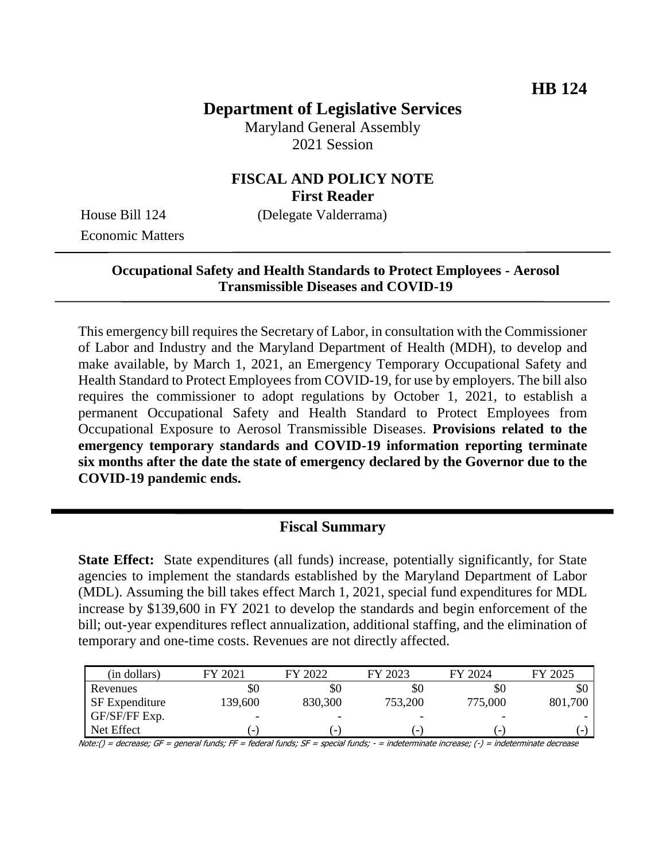# **Department of Legislative Services**

Maryland General Assembly 2021 Session

# **FISCAL AND POLICY NOTE First Reader**

Economic Matters

House Bill 124 (Delegate Valderrama)

# **Occupational Safety and Health Standards to Protect Employees - Aerosol Transmissible Diseases and COVID-19**

This emergency bill requires the Secretary of Labor, in consultation with the Commissioner of Labor and Industry and the Maryland Department of Health (MDH), to develop and make available, by March 1, 2021, an Emergency Temporary Occupational Safety and Health Standard to Protect Employees from COVID-19, for use by employers. The bill also requires the commissioner to adopt regulations by October 1, 2021, to establish a permanent Occupational Safety and Health Standard to Protect Employees from Occupational Exposure to Aerosol Transmissible Diseases. **Provisions related to the emergency temporary standards and COVID-19 information reporting terminate six months after the date the state of emergency declared by the Governor due to the COVID-19 pandemic ends.**

# **Fiscal Summary**

**State Effect:** State expenditures (all funds) increase, potentially significantly, for State agencies to implement the standards established by the Maryland Department of Labor (MDL). Assuming the bill takes effect March 1, 2021, special fund expenditures for MDL increase by \$139,600 in FY 2021 to develop the standards and begin enforcement of the bill; out-year expenditures reflect annualization, additional staffing, and the elimination of temporary and one-time costs. Revenues are not directly affected.

| (in dollars)          | FY 2021                  | FY 2022                  | FY 2023                  | FY 2024                  | FY 2025 |
|-----------------------|--------------------------|--------------------------|--------------------------|--------------------------|---------|
| Revenues              | \$0                      | \$0                      | \$0                      | \$0                      | \$0     |
| <b>SF</b> Expenditure | 139,600                  | 830,300                  | 753,200                  | 775,000                  | 801,700 |
| GF/SF/FF Exp.         | -                        | -                        |                          | $\overline{\phantom{0}}$ |         |
| Net Effect            | $\overline{\phantom{0}}$ | $\overline{\phantom{0}}$ | $\overline{\phantom{0}}$ | $\overline{\phantom{0}}$ | -       |

Note:() = decrease; GF = general funds; FF = federal funds; SF = special funds; - = indeterminate increase; (-) = indeterminate decrease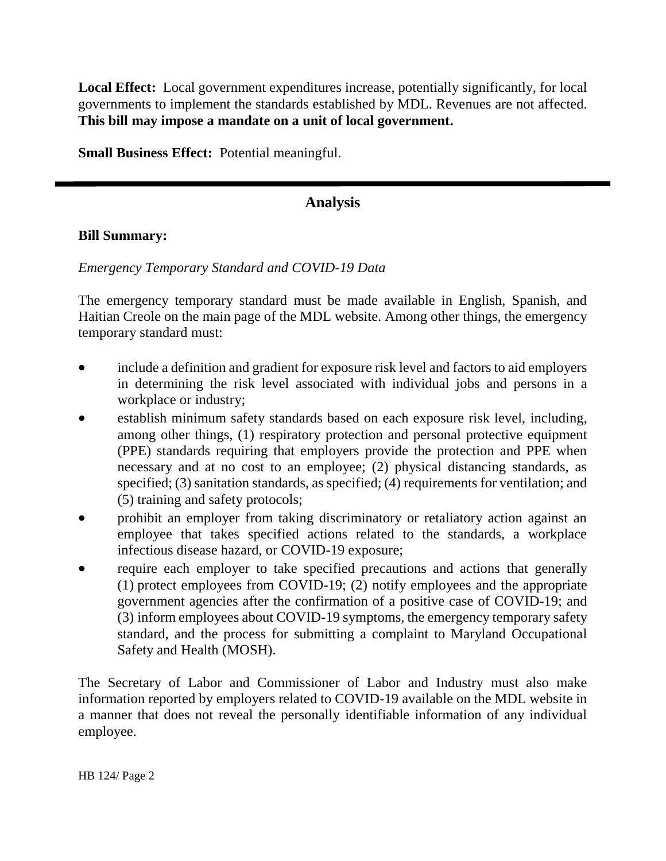**Local Effect:** Local government expenditures increase, potentially significantly, for local governments to implement the standards established by MDL. Revenues are not affected. **This bill may impose a mandate on a unit of local government.**

**Small Business Effect:** Potential meaningful.

# **Analysis**

# **Bill Summary:**

# *Emergency Temporary Standard and COVID-19 Data*

The emergency temporary standard must be made available in English, Spanish, and Haitian Creole on the main page of the MDL website. Among other things, the emergency temporary standard must:

- include a definition and gradient for exposure risk level and factors to aid employers in determining the risk level associated with individual jobs and persons in a workplace or industry;
- establish minimum safety standards based on each exposure risk level, including, among other things, (1) respiratory protection and personal protective equipment (PPE) standards requiring that employers provide the protection and PPE when necessary and at no cost to an employee; (2) physical distancing standards, as specified; (3) sanitation standards, as specified; (4) requirements for ventilation; and (5) training and safety protocols;
- prohibit an employer from taking discriminatory or retaliatory action against an employee that takes specified actions related to the standards, a workplace infectious disease hazard, or COVID-19 exposure;
- require each employer to take specified precautions and actions that generally (1) protect employees from COVID-19; (2) notify employees and the appropriate government agencies after the confirmation of a positive case of COVID-19; and (3) inform employees about COVID-19 symptoms, the emergency temporary safety standard, and the process for submitting a complaint to Maryland Occupational Safety and Health (MOSH).

The Secretary of Labor and Commissioner of Labor and Industry must also make information reported by employers related to COVID-19 available on the MDL website in a manner that does not reveal the personally identifiable information of any individual employee.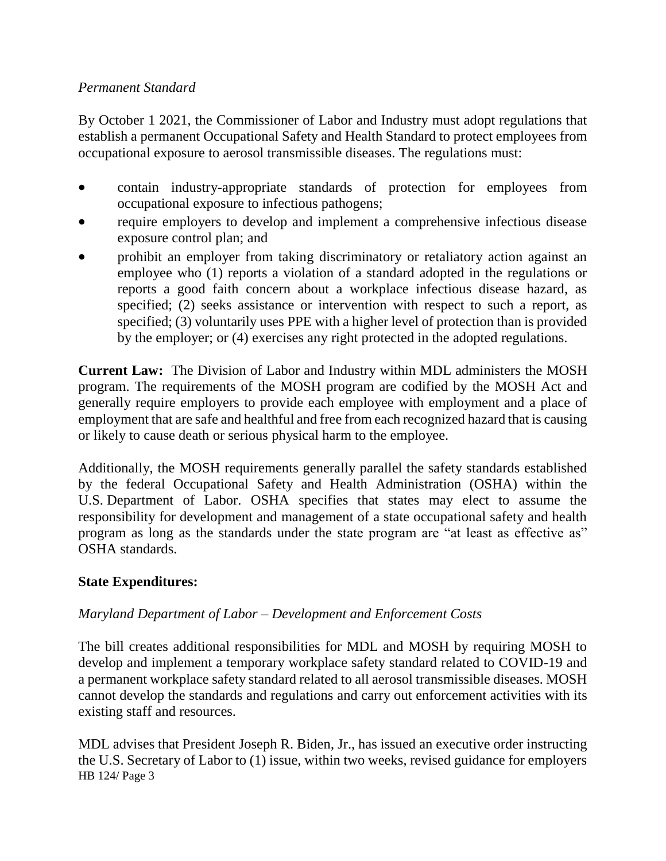# *Permanent Standard*

By October 1 2021, the Commissioner of Labor and Industry must adopt regulations that establish a permanent Occupational Safety and Health Standard to protect employees from occupational exposure to aerosol transmissible diseases. The regulations must:

- contain industry-appropriate standards of protection for employees from occupational exposure to infectious pathogens;
- require employers to develop and implement a comprehensive infectious disease exposure control plan; and
- prohibit an employer from taking discriminatory or retaliatory action against an employee who (1) reports a violation of a standard adopted in the regulations or reports a good faith concern about a workplace infectious disease hazard, as specified; (2) seeks assistance or intervention with respect to such a report, as specified; (3) voluntarily uses PPE with a higher level of protection than is provided by the employer; or (4) exercises any right protected in the adopted regulations.

**Current Law:** The Division of Labor and Industry within MDL administers the MOSH program. The requirements of the MOSH program are codified by the MOSH Act and generally require employers to provide each employee with employment and a place of employment that are safe and healthful and free from each recognized hazard that is causing or likely to cause death or serious physical harm to the employee.

Additionally, the MOSH requirements generally parallel the safety standards established by the federal Occupational Safety and Health Administration (OSHA) within the U.S. Department of Labor. OSHA specifies that states may elect to assume the responsibility for development and management of a state occupational safety and health program as long as the standards under the state program are "at least as effective as" OSHA standards.

# **State Expenditures:**

# *Maryland Department of Labor – Development and Enforcement Costs*

The bill creates additional responsibilities for MDL and MOSH by requiring MOSH to develop and implement a temporary workplace safety standard related to COVID-19 and a permanent workplace safety standard related to all aerosol transmissible diseases. MOSH cannot develop the standards and regulations and carry out enforcement activities with its existing staff and resources.

HB 124/ Page 3 MDL advises that President Joseph R. Biden, Jr., has issued an executive order instructing the U.S. Secretary of Labor to (1) issue, within two weeks, revised guidance for employers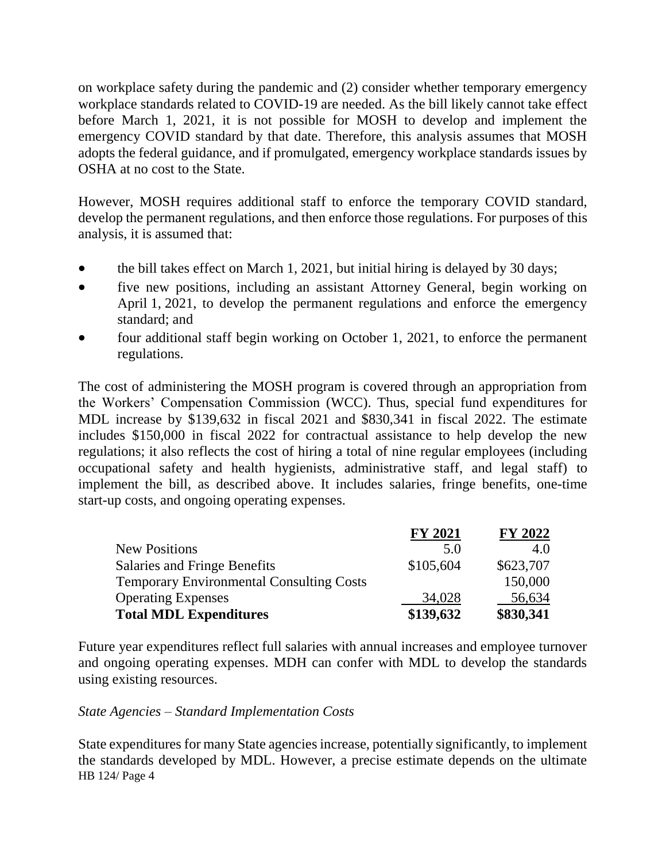on workplace safety during the pandemic and (2) consider whether temporary emergency workplace standards related to COVID-19 are needed. As the bill likely cannot take effect before March 1, 2021, it is not possible for MOSH to develop and implement the emergency COVID standard by that date. Therefore, this analysis assumes that MOSH adopts the federal guidance, and if promulgated, emergency workplace standards issues by OSHA at no cost to the State.

However, MOSH requires additional staff to enforce the temporary COVID standard, develop the permanent regulations, and then enforce those regulations. For purposes of this analysis, it is assumed that:

- the bill takes effect on March 1, 2021, but initial hiring is delayed by 30 days;
- five new positions, including an assistant Attorney General, begin working on April 1, 2021, to develop the permanent regulations and enforce the emergency standard; and
- four additional staff begin working on October 1, 2021, to enforce the permanent regulations.

The cost of administering the MOSH program is covered through an appropriation from the Workers' Compensation Commission (WCC). Thus, special fund expenditures for MDL increase by \$139,632 in fiscal 2021 and \$830,341 in fiscal 2022. The estimate includes \$150,000 in fiscal 2022 for contractual assistance to help develop the new regulations; it also reflects the cost of hiring a total of nine regular employees (including occupational safety and health hygienists, administrative staff, and legal staff) to implement the bill, as described above. It includes salaries, fringe benefits, one-time start-up costs, and ongoing operating expenses.

|                                                 | <b>FY 2021</b> | <b>FY 2022</b> |
|-------------------------------------------------|----------------|----------------|
| <b>New Positions</b>                            | 5.0            | 4.0            |
| <b>Salaries and Fringe Benefits</b>             | \$105,604      | \$623,707      |
| <b>Temporary Environmental Consulting Costs</b> |                | 150,000        |
| <b>Operating Expenses</b>                       | 34,028         | 56,634         |
| <b>Total MDL Expenditures</b>                   | \$139,632      | \$830,341      |

Future year expenditures reflect full salaries with annual increases and employee turnover and ongoing operating expenses. MDH can confer with MDL to develop the standards using existing resources.

#### *State Agencies – Standard Implementation Costs*

HB 124/ Page 4 State expenditures for many State agencies increase, potentially significantly, to implement the standards developed by MDL. However, a precise estimate depends on the ultimate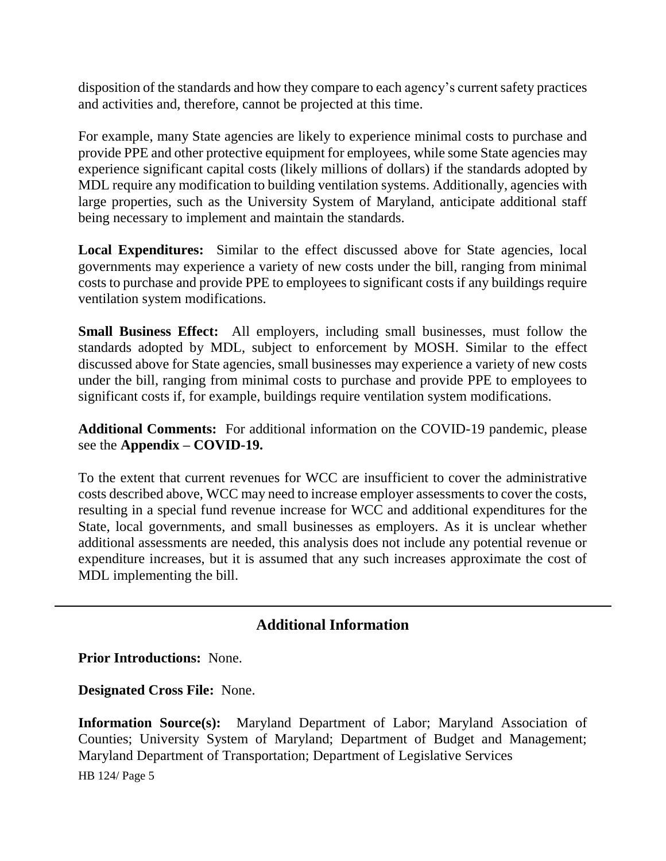disposition of the standards and how they compare to each agency's current safety practices and activities and, therefore, cannot be projected at this time.

For example, many State agencies are likely to experience minimal costs to purchase and provide PPE and other protective equipment for employees, while some State agencies may experience significant capital costs (likely millions of dollars) if the standards adopted by MDL require any modification to building ventilation systems. Additionally, agencies with large properties, such as the University System of Maryland, anticipate additional staff being necessary to implement and maintain the standards.

**Local Expenditures:** Similar to the effect discussed above for State agencies, local governments may experience a variety of new costs under the bill, ranging from minimal costs to purchase and provide PPE to employees to significant costs if any buildings require ventilation system modifications.

**Small Business Effect:** All employers, including small businesses, must follow the standards adopted by MDL, subject to enforcement by MOSH. Similar to the effect discussed above for State agencies, small businesses may experience a variety of new costs under the bill, ranging from minimal costs to purchase and provide PPE to employees to significant costs if, for example, buildings require ventilation system modifications.

**Additional Comments:** For additional information on the COVID-19 pandemic, please see the **Appendix – COVID-19.** 

To the extent that current revenues for WCC are insufficient to cover the administrative costs described above, WCC may need to increase employer assessments to cover the costs, resulting in a special fund revenue increase for WCC and additional expenditures for the State, local governments, and small businesses as employers. As it is unclear whether additional assessments are needed, this analysis does not include any potential revenue or expenditure increases, but it is assumed that any such increases approximate the cost of MDL implementing the bill.

# **Additional Information**

**Prior Introductions:** None.

**Designated Cross File:** None.

**Information Source(s):** Maryland Department of Labor; Maryland Association of Counties; University System of Maryland; Department of Budget and Management; Maryland Department of Transportation; Department of Legislative Services

HB 124/ Page 5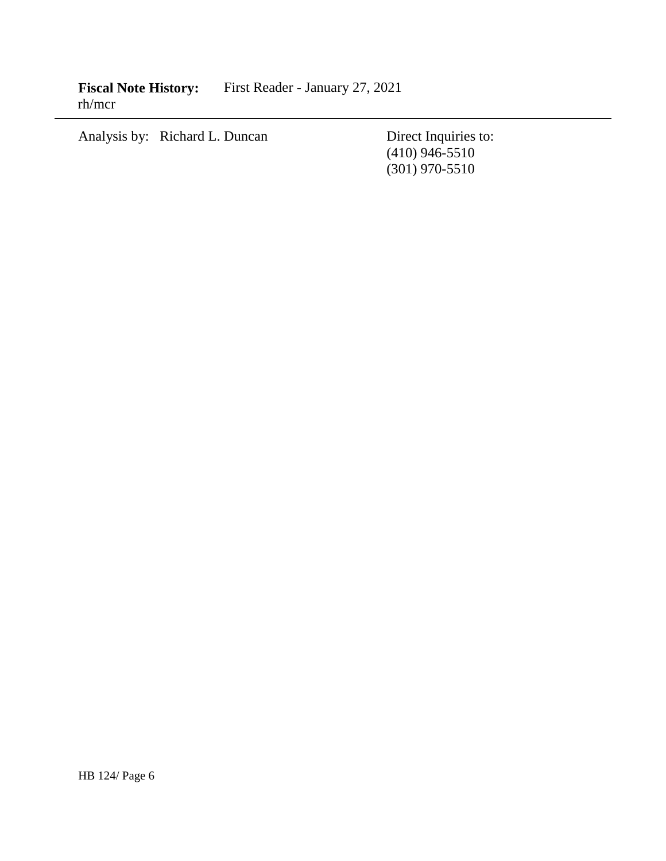**Fiscal Note History:** First Reader - January 27, 2021 rh/mcr

Analysis by: Richard L. Duncan Direct Inquiries to:

(410) 946-5510 (301) 970-5510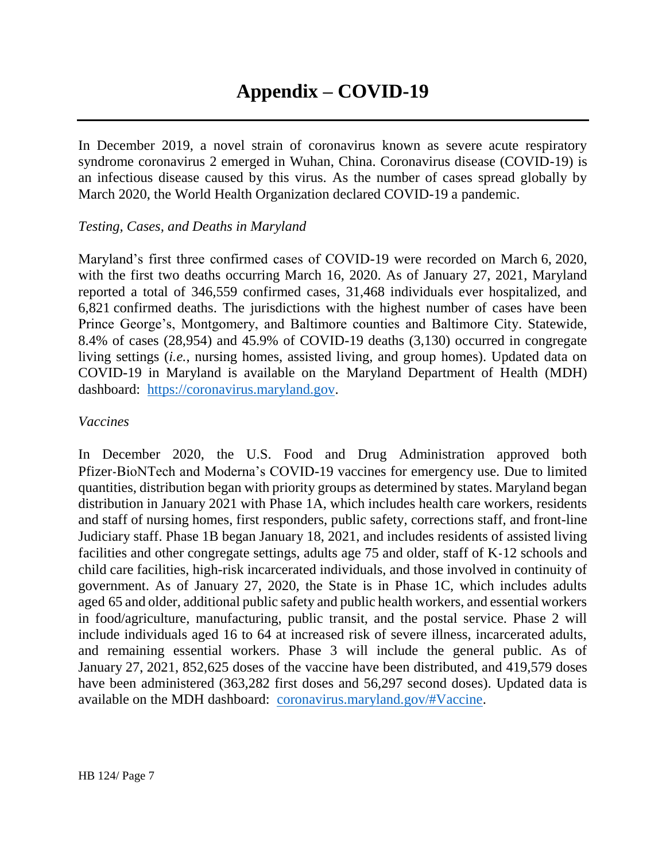In December 2019, a novel strain of coronavirus known as severe acute respiratory syndrome coronavirus 2 emerged in Wuhan, China. Coronavirus disease (COVID-19) is an infectious disease caused by this virus. As the number of cases spread globally by March 2020, the World Health Organization declared COVID-19 a pandemic.

# *Testing, Cases, and Deaths in Maryland*

Maryland's first three confirmed cases of COVID-19 were recorded on March 6, 2020, with the first two deaths occurring March 16, 2020. As of January 27, 2021, Maryland reported a total of 346,559 confirmed cases, 31,468 individuals ever hospitalized, and 6,821 confirmed deaths. The jurisdictions with the highest number of cases have been Prince George's, Montgomery, and Baltimore counties and Baltimore City. Statewide, 8.4% of cases (28,954) and 45.9% of COVID-19 deaths (3,130) occurred in congregate living settings (*i.e.*, nursing homes, assisted living, and group homes). Updated data on COVID-19 in Maryland is available on the Maryland Department of Health (MDH) dashboard: [https://coronavirus.maryland.gov.](https://coronavirus.maryland.gov/)

#### *Vaccines*

In December 2020, the U.S. Food and Drug Administration approved both Pfizer-BioNTech and Moderna's COVID-19 vaccines for emergency use. Due to limited quantities, distribution began with priority groups as determined by states. Maryland began distribution in January 2021 with Phase 1A, which includes health care workers, residents and staff of nursing homes, first responders, public safety, corrections staff, and front-line Judiciary staff. Phase 1B began January 18, 2021, and includes residents of assisted living facilities and other congregate settings, adults age 75 and older, staff of K-12 schools and child care facilities, high-risk incarcerated individuals, and those involved in continuity of government. As of January 27, 2020, the State is in Phase 1C, which includes adults aged 65 and older, additional public safety and public health workers, and essential workers in food/agriculture, manufacturing, public transit, and the postal service. Phase 2 will include individuals aged 16 to 64 at increased risk of severe illness, incarcerated adults, and remaining essential workers. Phase 3 will include the general public. As of January 27, 2021, 852,625 doses of the vaccine have been distributed, and 419,579 doses have been administered (363,282 first doses and 56,297 second doses). Updated data is available on the MDH dashboard: [coronavirus.maryland.gov/#Vaccine.](https://coronavirus.maryland.gov/#Vaccine)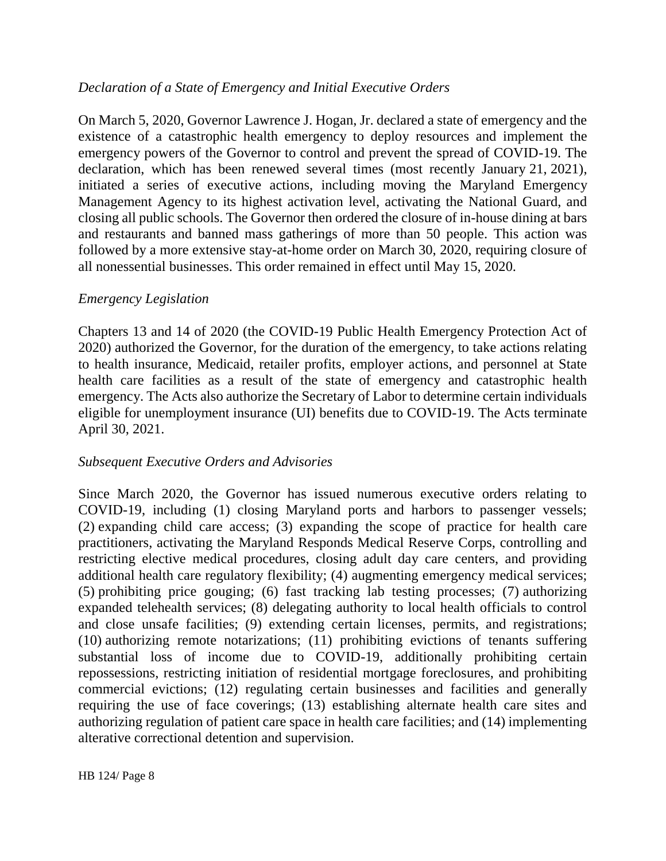# *Declaration of a State of Emergency and Initial Executive Orders*

On March 5, 2020, Governor Lawrence J. Hogan, Jr. declared a state of emergency and the existence of a catastrophic health emergency to deploy resources and implement the emergency powers of the Governor to control and prevent the spread of COVID-19. The declaration, which has been renewed several times (most recently January 21, 2021), initiated a series of executive actions, including moving the Maryland Emergency Management Agency to its highest activation level, activating the National Guard, and closing all public schools. The Governor then ordered the closure of in-house dining at bars and restaurants and banned mass gatherings of more than 50 people. This action was followed by a more extensive stay-at-home order on March 30, 2020, requiring closure of all nonessential businesses. This order remained in effect until May 15, 2020.

# *Emergency Legislation*

Chapters 13 and 14 of 2020 (the COVID-19 Public Health Emergency Protection Act of 2020) authorized the Governor, for the duration of the emergency, to take actions relating to health insurance, Medicaid, retailer profits, employer actions, and personnel at State health care facilities as a result of the state of emergency and catastrophic health emergency. The Acts also authorize the Secretary of Labor to determine certain individuals eligible for unemployment insurance (UI) benefits due to COVID-19. The Acts terminate April 30, 2021.

# *Subsequent Executive Orders and Advisories*

Since March 2020, the Governor has issued numerous executive orders relating to COVID-19, including (1) closing Maryland ports and harbors to passenger vessels; (2) expanding child care access; (3) expanding the scope of practice for health care practitioners, activating the Maryland Responds Medical Reserve Corps, controlling and restricting elective medical procedures, closing adult day care centers, and providing additional health care regulatory flexibility; (4) augmenting emergency medical services; (5) prohibiting price gouging; (6) fast tracking lab testing processes; (7) authorizing expanded telehealth services; (8) delegating authority to local health officials to control and close unsafe facilities; (9) extending certain licenses, permits, and registrations; (10) authorizing remote notarizations; (11) prohibiting evictions of tenants suffering substantial loss of income due to COVID-19, additionally prohibiting certain repossessions, restricting initiation of residential mortgage foreclosures, and prohibiting commercial evictions; (12) regulating certain businesses and facilities and generally requiring the use of face coverings; (13) establishing alternate health care sites and authorizing regulation of patient care space in health care facilities; and (14) implementing alterative correctional detention and supervision.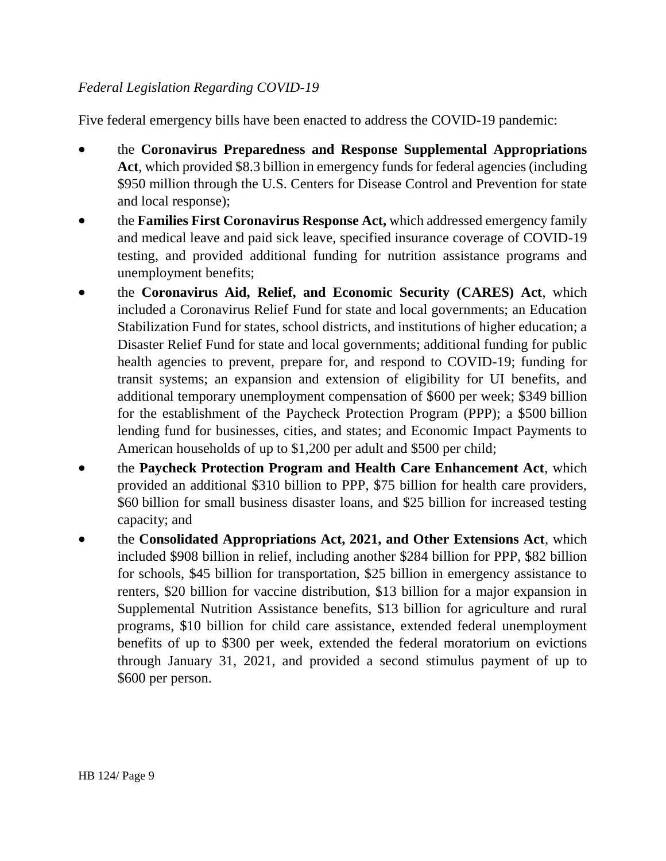# *Federal Legislation Regarding COVID-19*

Five federal emergency bills have been enacted to address the COVID-19 pandemic:

- the **Coronavirus Preparedness and Response Supplemental Appropriations**  Act, which provided \$8.3 billion in emergency funds for federal agencies (including \$950 million through the U.S. Centers for Disease Control and Prevention for state and local response);
- the **Families First Coronavirus Response Act,** which addressed emergency family and medical leave and paid sick leave, specified insurance coverage of COVID-19 testing, and provided additional funding for nutrition assistance programs and unemployment benefits;
- the **Coronavirus Aid, Relief, and Economic Security (CARES) Act**, which included a Coronavirus Relief Fund for state and local governments; an Education Stabilization Fund for states, school districts, and institutions of higher education; a Disaster Relief Fund for state and local governments; additional funding for public health agencies to prevent, prepare for, and respond to COVID-19; funding for transit systems; an expansion and extension of eligibility for UI benefits, and additional temporary unemployment compensation of \$600 per week; \$349 billion for the establishment of the Paycheck Protection Program (PPP); a \$500 billion lending fund for businesses, cities, and states; and Economic Impact Payments to American households of up to \$1,200 per adult and \$500 per child;
- the **Paycheck Protection Program and Health Care Enhancement Act**, which provided an additional \$310 billion to PPP, \$75 billion for health care providers, \$60 billion for small business disaster loans, and \$25 billion for increased testing capacity; and
- the **Consolidated Appropriations Act, 2021, and Other Extensions Act**, which included \$908 billion in relief, including another \$284 billion for PPP, \$82 billion for schools, \$45 billion for transportation, \$25 billion in emergency assistance to renters, \$20 billion for vaccine distribution, \$13 billion for a major expansion in Supplemental Nutrition Assistance benefits, \$13 billion for agriculture and rural programs, \$10 billion for child care assistance, extended federal unemployment benefits of up to \$300 per week, extended the federal moratorium on evictions through January 31, 2021, and provided a second stimulus payment of up to \$600 per person.